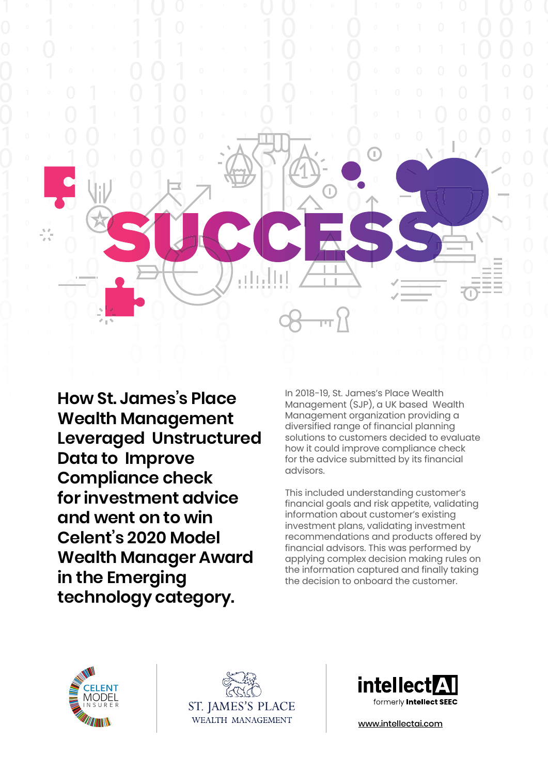

**How St. James's Place Wealth Management Leveraged Unstructured Data to Improve Compliance check for investment advice and went on to win Celent's 2020 Model Wealth Manager Award in the Emerging technology category.**

In 2018-19, St. James's Place Wealth Management (SJP), a UK based Wealth Management organization providing a diversified range of financial planning solutions to customers decided to evaluate how it could improve compliance check for the advice submitted by its financial advisors.

This included understanding customer's financial goals and risk appetite, validating information about customer's existing investment plans, validating investment recommendations and products offered by financial advisors. This was performed by applying complex decision making rules on the information captured and finally taking the decision to onboard the customer.







[www.intellectai.com](https://www.intellectai.com/)